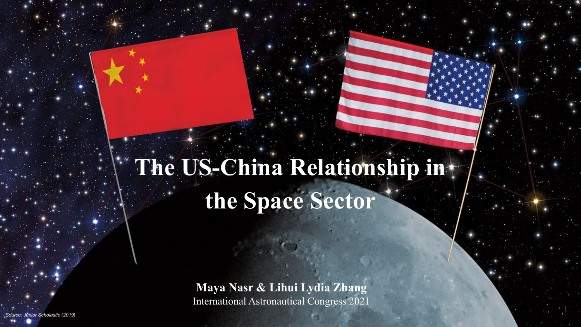# **The US-China Relationship in the Space Sector**

**Maya Nasr & Lihui Lydia Zhang** International Astronautical Congress 2021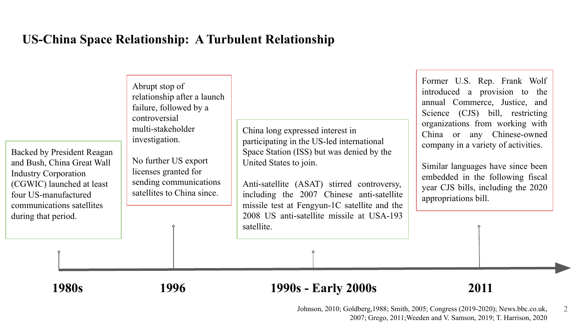### **US-China Space Relationship: A Turbulent Relationship**

| Backed by President Reagan<br>and Bush, China Great Wall<br><b>Industry Corporation</b><br>(CGWIC) launched at least<br>four US-manufactured<br>communications satellites<br>during that period. | Abrupt stop of<br>relationship after a launch<br>failure, followed by a<br>controversial<br>multi-stakeholder<br>investigation.<br>No further US export<br>licenses granted for<br>sending communications<br>satellites to China since. | China long expressed interest in<br>participating in the US-led international<br>Space Station (ISS) but was denied by the<br>United States to join.<br>Anti-satellite (ASAT) stirred controversy,<br>including the 2007 Chinese anti-satellite<br>missile test at Fengyun-1C satellite and the<br>2008 US anti-satellite missile at USA-193<br>satellite. | Former U.S. Rep. Frank Wolf<br>introduced a provision to the<br>annual Commerce, Justice, and<br>Science (CJS) bill, restricting<br>organizations from working with<br>China or any Chinese-owned<br>company in a variety of activities.<br>Similar languages have since been<br>embedded in the following fiscal<br>year CJS bills, including the 2020<br>appropriations bill. |
|--------------------------------------------------------------------------------------------------------------------------------------------------------------------------------------------------|-----------------------------------------------------------------------------------------------------------------------------------------------------------------------------------------------------------------------------------------|------------------------------------------------------------------------------------------------------------------------------------------------------------------------------------------------------------------------------------------------------------------------------------------------------------------------------------------------------------|---------------------------------------------------------------------------------------------------------------------------------------------------------------------------------------------------------------------------------------------------------------------------------------------------------------------------------------------------------------------------------|
|                                                                                                                                                                                                  |                                                                                                                                                                                                                                         |                                                                                                                                                                                                                                                                                                                                                            |                                                                                                                                                                                                                                                                                                                                                                                 |

#### **1980s 1996 1990s - Early 2000s**

#### **2011**

Johnson, 2010; Goldberg,1988; Smith, 2005; Congress (2019-2020); News.bbc.co.uk, 2 2007; Grego, 2011;Weeden and V. Samson, 2019; T. Harrison, 2020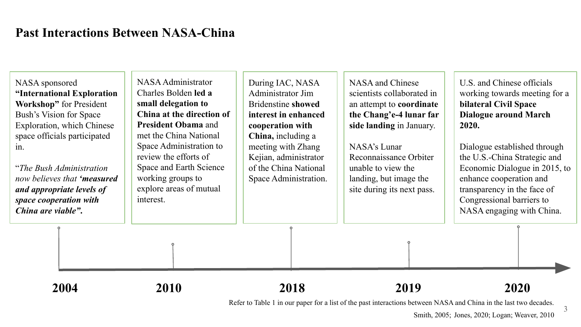#### **Past Interactions Between NASA-China**

NASA sponsored **"International Exploration Workshop"** for President Bush's Vision for Space Exploration, which Chinese space officials participated in.

"*The Bush Administration now believes that 'measured and appropriate levels of space cooperation with China are viable"***.**

NASA Administrator Charles Bolden **led a small delegation to China at the direction of President Obama** and met the China National Space Administration to review the efforts of Space and Earth Science working groups to explore areas of mutual interest.

During IAC, NASA Administrator Jim Bridenstine **showed interest in enhanced cooperation with China,** including a meeting with Zhang Kejian, administrator of the China National Space Administration.

NASA and Chinese scientists collaborated in an attempt to **coordinate the Chang'e-4 lunar far side landing** in January.

NASA's Lunar Reconnaissance Orbiter unable to view the landing, but image the site during its next pass. U.S. and Chinese officials working towards meeting for a **bilateral Civil Space Dialogue around March 2020.**

Dialogue established through the U.S.-China Strategic and Economic Dialogue in 2015, to enhance cooperation and transparency in the face of Congressional barriers to NASA engaging with China.

3

**2004 2018 2019 2020 2010**

Refer to Table 1 in our paper for a list of the past interactions between NASA and China in the last two decades.

Smith, 2005; Jones, 2020; Logan; Weaver, 2010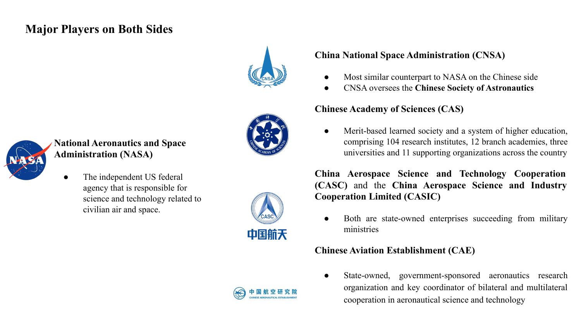#### **Major Players on Both Sides**





#### **National Aeronautics and Space Administration (NASA)**

• The independent US federal agency that is responsible for science and technology related to civilian air and space.



#### **China National Space Administration (CNSA)**

- Most similar counterpart to NASA on the Chinese side
- CNSA oversees the **Chinese Society of Astronautics**

#### **Chinese Academy of Sciences (CAS)**

Merit-based learned society and a system of higher education, comprising 104 research institutes, 12 branch academies, three universities and 11 supporting organizations across the country

**China Aerospace Science and Technology Cooperation (CASC)** and the **China Aerospace Science and Industry Cooperation Limited (CASIC)**

Both are state-owned enterprises succeeding from military ministries

#### **Chinese Aviation Establishment (CAE)**

State-owned, government-sponsored aeronautics research organization and key coordinator of bilateral and multilateral cooperation in aeronautical science and technology

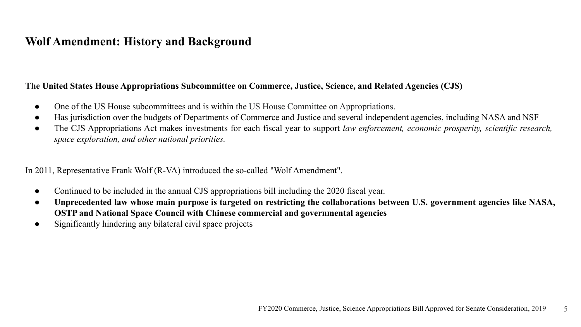#### **Wolf Amendment: History and Background**

#### **The United States House Appropriations Subcommittee on Commerce, Justice, Science, and Related Agencies (CJS)**

- One of the US House subcommittees and is within the US House Committee on Appropriations.
- Has jurisdiction over the budgets of Departments of Commerce and Justice and several independent agencies, including NASA and NSF
- The CJS Appropriations Act makes investments for each fiscal year to support *law enforcement, economic prosperity, scientific research, space exploration, and other national priorities.*

In 2011, Representative Frank Wolf (R-VA) introduced the so-called "Wolf Amendment".

- Continued to be included in the annual CJS appropriations bill including the 2020 fiscal year.
- **● Unprecedented law whose main purpose is targeted on restricting the collaborations between U.S. government agencies like NASA, OSTP and National Space Council with Chinese commercial and governmental agencies**
- Significantly hindering any bilateral civil space projects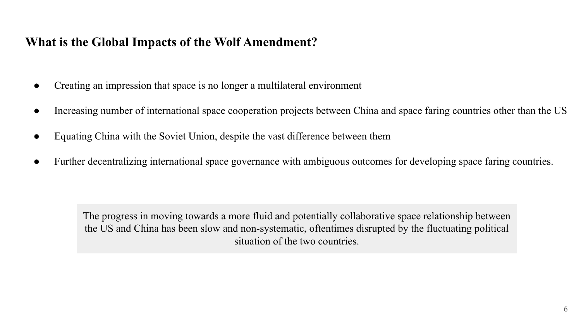### **What is the Global Impacts of the Wolf Amendment?**

- Creating an impression that space is no longer a multilateral environment
- Increasing number of international space cooperation projects between China and space faring countries other than the US
- Equating China with the Soviet Union, despite the vast difference between them
- Further decentralizing international space governance with ambiguous outcomes for developing space faring countries.

The progress in moving towards a more fluid and potentially collaborative space relationship between the US and China has been slow and non-systematic, oftentimes disrupted by the fluctuating political situation of the two countries.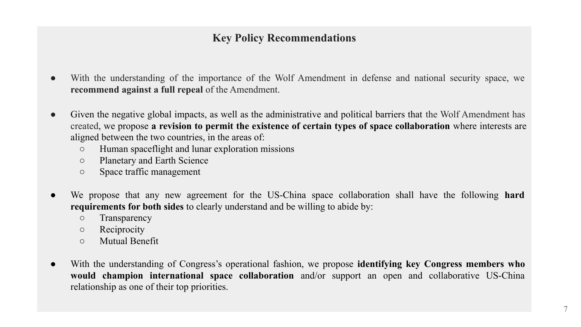#### **Key Policy Recommendations**

- With the understanding of the importance of the Wolf Amendment in defense and national security space, we **recommend against a full repeal** of the Amendment.
- Given the negative global impacts, as well as the administrative and political barriers that the Wolf Amendment has created, we propose **a revision to permit the existence of certain types of space collaboration** where interests are aligned between the two countries, in the areas of:
	- Human spaceflight and lunar exploration missions
	- Planetary and Earth Science
	- Space traffic management
- We propose that any new agreement for the US-China space collaboration shall have the following **hard requirements for both sides** to clearly understand and be willing to abide by:
	- Transparency
	- Reciprocity
	- Mutual Benefit
- With the understanding of Congress's operational fashion, we propose **identifying key Congress members who would champion international space collaboration** and/or support an open and collaborative US-China relationship as one of their top priorities.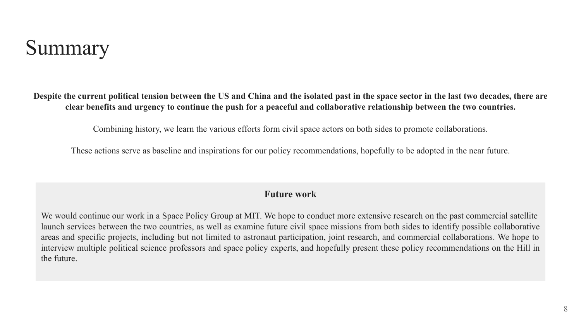# Summary

**Despite the current political tension between the US and China and the isolated past in the space sector in the last two decades, there are clear benefits and urgency to continue the push for a peaceful and collaborative relationship between the two countries.**

Combining history, we learn the various efforts form civil space actors on both sides to promote collaborations.

These actions serve as baseline and inspirations for our policy recommendations, hopefully to be adopted in the near future.

#### **Future work**

We would continue our work in a Space Policy Group at MIT. We hope to conduct more extensive research on the past commercial satellite launch services between the two countries, as well as examine future civil space missions from both sides to identify possible collaborative areas and specific projects, including but not limited to astronaut participation, joint research, and commercial collaborations. We hope to interview multiple political science professors and space policy experts, and hopefully present these policy recommendations on the Hill in the future.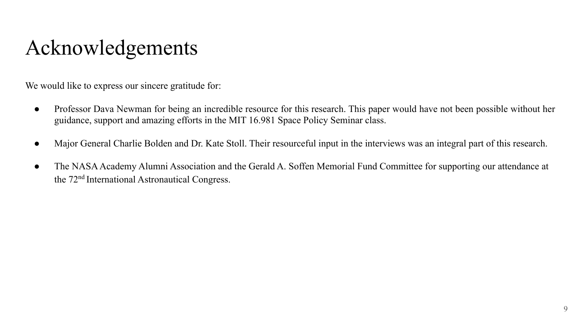# Acknowledgements

We would like to express our sincere gratitude for:

- Professor Dava Newman for being an incredible resource for this research. This paper would have not been possible without her guidance, support and amazing efforts in the MIT 16.981 Space Policy Seminar class.
- Major General Charlie Bolden and Dr. Kate Stoll. Their resourceful input in the interviews was an integral part of this research.
- The NASA Academy Alumni Association and the Gerald A. Soffen Memorial Fund Committee for supporting our attendance at the 72nd International Astronautical Congress.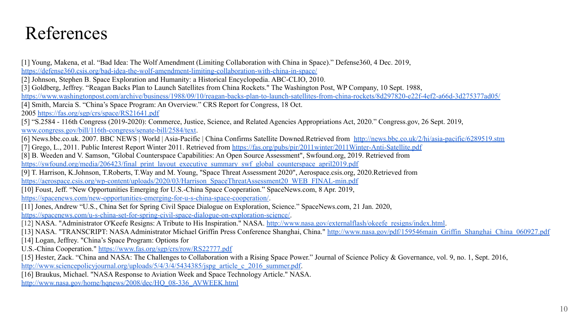### References

[1] Young, Makena, et al. "Bad Idea: The Wolf Amendment (Limiting Collaboration with China in Space)." Defense360, 4 Dec. 2019, <https://defense360.csis.org/bad-idea-the-wolf-amendment-limiting-collaboration-with-china-in-space/> [2] Johnson, Stephen B. Space Exploration and Humanity: a Historical Encyclopedia. ABC-CLIO, 2010. [3] Goldberg, Jeffrey. "Reagan Backs Plan to Launch Satellites from China Rockets." The Washington Post, WP Company, 10 Sept. 1988, <https://www.washingtonpost.com/archive/business/1988/09/10/reagan-backs-plan-to-launch-satellites-from-china-rockets/8d297820-e22f-4ef2-a66d-3d275377ad05/> [4] Smith, Marcia S. "China's Space Program: An Overview." CRS Report for Congress, 18 Oct. 2005 <https://fas.org/sgp/crs/space/RS21641.pdf> [5] "S.2584 - 116th Congress (2019-2020): Commerce, Justice, Science, and Related Agencies Appropriations Act, 2020." Congress.gov, 26 Sept. 2019, [www.congress.gov/bill/116th-congress/senate-bill/2584/text](http://www.congress.gov/bill/116th-congress/senate-bill/2584/text). [6] News.bbc.co.uk. 2007. BBC NEWS | World | Asia-Pacific | China Confirms Satellite Downed.Retrieved from <http://news.bbc.co.uk/2/hi/asia-pacific/6289519.stm> [7] Grego, L., 2011. Public Interest Report Winter 2011. Retrieved from <https://fas.org/pubs/pir/2011winter/2011Winter-Anti-Satellite.pdf> [8] B. Weeden and V. Samson, "Global Counterspace Capabilities: An Open Source Assessment", Swfound.org, 2019. Retrieved from [https://swfound.org/media/206423/final\\_print\\_layout\\_executive\\_summary\\_swf\\_global\\_counterspace\\_april2019.pdf](https://swfound.org/media/206423/final_print_layout_executive_summary_swf_global_counterspace_april2019.pdf) [9] T. Harrison, K.Johnson, T.Roberts, T.Way and M. Young, "Space Threat Assessment 2020", Aerospace.csis.org, 2020.Retrieved from [https://aerospace.csis.org/wp-content/uploads/2020/03/Harrison\\_SpaceThreatAssessment20\\_WEB\\_FINAL-min.pdf](https://aerospace.csis.org/wp-content/uploads/2020/03/Harrison_SpaceThreatAssessment20_WEB_FINAL-min.pdf) [10] Foust, Jeff. "New Opportunities Emerging for U.S.-China Space Cooperation." SpaceNews.com, 8 Apr. 2019, <https://spacenews.com/new-opportunities-emerging-for-u-s-china-space-cooperation/>. [11] Jones, Andrew "U.S., China Set for Spring Civil Space Dialogue on Exploration, Science." SpaceNews.com, 21 Jan. 2020, <https://spacenews.com/u-s-china-set-for-spring-civil-space-dialogue-on-exploration-science/>. [12] NASA. "Administrator O'Keefe Resigns: A Tribute to His Inspiration." NASA. [http://www.nasa.gov/externalflash/okeefe\\_resigns/index.html.](http://www.nasa.gov/externalflash/okeefe_resigns/index.html) [13] NASA. "TRANSCRIPT: NASA Administrator Michael Griffin Press Conference Shanghai, China." [http://www.nasa.gov/pdf/159546main\\_Griffin\\_Shanghai\\_China\\_060927.pdf](http://www.nasa.gov/pdf/159546main_Griffin_Shanghai_China_060927.pdf) [14] Logan, Jeffrey. "China's Space Program: Options for U.S.-China Cooperation." <https://www.fas.org/sgp/crs/row/RS22777.pdf> [15] Hester, Zack. "China and NASA: The Challenges to Collaboration with a Rising Space Power." Journal of Science Policy & Governance, vol. 9, no. 1, Sept. 2016, [http://www.sciencepolicyjournal.org/uploads/5/4/3/4/5434385/jspg\\_article\\_c\\_2016\\_summer.pdf.](http://www.sciencepolicyjournal.org/uploads/5/4/3/4/5434385/jspg_article_c_2016_summer.pdf) [16] Braukus, Michael. "NASA Response to Aviation Week and Space Technology Article." NASA. [http://www.nasa.gov/home/hqnews/2008/dec/HQ\\_08-336\\_AVWEEK.html](http://www.nasa.gov/home/hqnews/2008/dec/HQ_08-336_AVWEEK.html)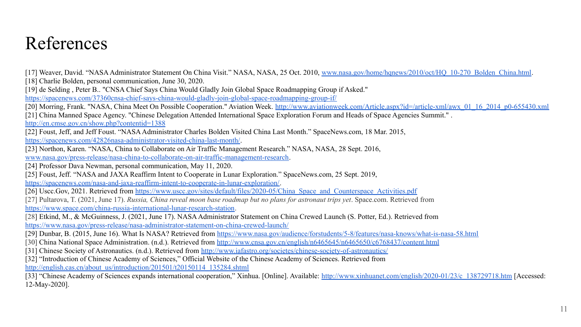## References

[17] Weaver, David. "NASA Administrator Statement On China Visit." NASA, NASA, 25 Oct. 2010, www.nasa.gov/home/hqnews/2010/oct/HO 10-270 Bolden\_China.html. [18] Charlie Bolden, personal communication, June 30, 2020. [19] de Selding , Peter B.. "CNSA Chief Says China Would Gladly Join Global Space Roadmapping Group if Asked." <https://spacenews.com/37360cnsa-chief-says-china-would-gladly-join-global-space-roadmapping-group-if/> [20] Morring, Frank. "NASA, China Meet On Possible Cooperation." Aviation Week. [http://www.aviationweek.com/Article.aspx?id=/article-xml/awx\\_01\\_16\\_2014\\_p0-655430.xml](http://www.aviationweek.com/Article.aspx?id=/article-xml/awx_01_16_2014_p0-655430.xml) [21] China Manned Space Agency. "Chinese Delegation Attended International Space Exploration Forum and Heads of Space Agencies Summit." . <http://en.cmse.gov.cn/show.php?contentid=1388> [22] Foust, Jeff, and Jeff Foust. "NASA Administrator Charles Bolden Visited China Last Month." SpaceNews.com, 18 Mar. 2015, [https://spacenews.com/42826nasa-administrator-visited-china-last-month/.](https://spacenews.com/42826nasa-administrator-visited-china-last-month/) [23] Northon, Karen. "NASA, China to Collaborate on Air Traffic Management Research." NASA, NASA, 28 Sept. 2016, [www.nasa.gov/press-release/nasa-china-to-collaborate-on-air-traffic-management-research](http://www.nasa.gov/press-release/nasa-china-to-collaborate-on-air-traffic-management-research). [24] Professor Dava Newman, personal communication, May 11, 2020. [25] Foust, Jeff. "NASA and JAXA Reaffirm Intent to Cooperate in Lunar Exploration." SpaceNews.com, 25 Sept. 2019, [https://spacenews.com/nasa-and-jaxa-reaffirm-intent-to-cooperate-in-lunar-exploration/.](https://spacenews.com/nasa-and-jaxa-reaffirm-intent-to-cooperate-in-lunar-exploration/) [26] Uscc.Gov, 2021. Retrieved from [https://www.uscc.gov/sites/default/files/2020-05/China\\_Space\\_and\\_Counterspace\\_Activities.pdf](https://www.uscc.gov/sites/default/files/2020-05/China_Space_and_Counterspace_Activities.pdf) [27] Pultarova, T. (2021, June 17). *Russia, China reveal moon base roadmap but no plans for astronaut trips yet*. Space.com. Retrieved from [https://www.space.com/china-russia-international-lunar-research-station.](https://www.space.com/china-russia-international-lunar-research-station) [28] Etkind, M., & McGuinness, J. (2021, June 17). NASA Administrator Statement on China Crewed Launch (S. Potter, Ed.). Retrieved from <https://www.nasa.gov/press-release/nasa-administrator-statement-on-china-crewed-launch/> [29] Dunbar, B. (2015, June 16). What Is NASA? Retrieved from <https://www.nasa.gov/audience/forstudents/5-8/features/nasa-knows/what-is-nasa-58.html> [30] China National Space Administration. (n.d.). Retrieved from <http://www.cnsa.gov.cn/english/n6465645/n6465650/c6768437/content.html> [31] Chinese Society of Astronautics. (n.d.). Retrieved from<http://www.iafastro.org/societes/chinese-society-of-astronautics/> [32] "Introduction of Chinese Academy of Sciences," Official Website of the Chinese Academy of Sciences. Retrieved from [http://english.cas.cn/about\\_us/introduction/201501/t20150114\\_135284.shtml](http://english.cas.cn/about_us/introduction/201501/t20150114_135284.shtml) [33] "Chinese Academy of Sciences expands international cooperation," Xinhua. [Online]. Available: [http://www.xinhuanet.com/english/2020-01/23/c\\_138729718.htm](http://www.xinhuanet.com/english/2020-01/23/c_138729718.htm) [Accessed: 12-May-2020].